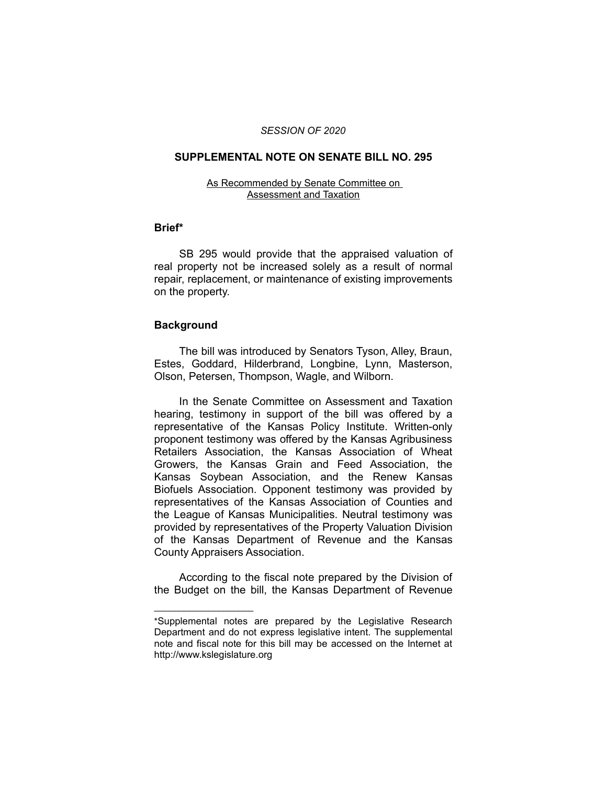### *SESSION OF 2020*

# **SUPPLEMENTAL NOTE ON SENATE BILL NO. 295**

#### As Recommended by Senate Committee on Assessment and Taxation

## **Brief\***

SB 295 would provide that the appraised valuation of real property not be increased solely as a result of normal repair, replacement, or maintenance of existing improvements on the property.

### **Background**

 $\overline{\phantom{a}}$  , where  $\overline{\phantom{a}}$  , where  $\overline{\phantom{a}}$ 

The bill was introduced by Senators Tyson, Alley, Braun, Estes, Goddard, Hilderbrand, Longbine, Lynn, Masterson, Olson, Petersen, Thompson, Wagle, and Wilborn.

In the Senate Committee on Assessment and Taxation hearing, testimony in support of the bill was offered by a representative of the Kansas Policy Institute. Written-only proponent testimony was offered by the Kansas Agribusiness Retailers Association, the Kansas Association of Wheat Growers, the Kansas Grain and Feed Association, the Kansas Soybean Association, and the Renew Kansas Biofuels Association. Opponent testimony was provided by representatives of the Kansas Association of Counties and the League of Kansas Municipalities. Neutral testimony was provided by representatives of the Property Valuation Division of the Kansas Department of Revenue and the Kansas County Appraisers Association.

According to the fiscal note prepared by the Division of the Budget on the bill, the Kansas Department of Revenue

<sup>\*</sup>Supplemental notes are prepared by the Legislative Research Department and do not express legislative intent. The supplemental note and fiscal note for this bill may be accessed on the Internet at http://www.kslegislature.org